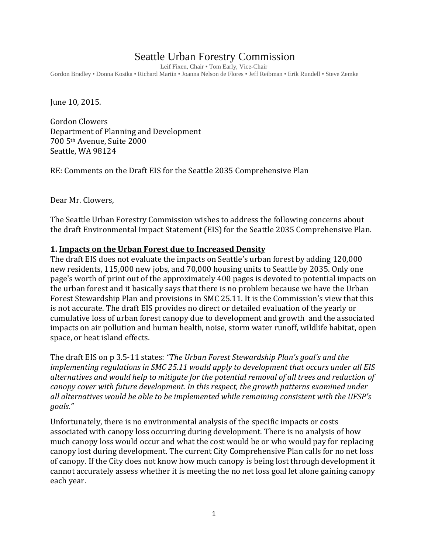# Seattle Urban Forestry Commission

Leif Fixen, Chair • Tom Early, Vice-Chair Gordon Bradley • Donna Kostka • Richard Martin • Joanna Nelson de Flores • Jeff Reibman • Erik Rundell • Steve Zemke

June 10, 2015.

Gordon Clowers Department of Planning and Development 700 5th Avenue, Suite 2000 Seattle, WA 98124

RE: Comments on the Draft EIS for the Seattle 2035 Comprehensive Plan

Dear Mr. Clowers,

The Seattle Urban Forestry Commission wishes to address the following concerns about the draft Environmental Impact Statement (EIS) for the Seattle 2035 Comprehensive Plan.

### **1. Impacts on the Urban Forest due to Increased Density**

The draft EIS does not evaluate the impacts on Seattle's urban forest by adding 120,000 new residents, 115,000 new jobs, and 70,000 housing units to Seattle by 2035. Only one page's worth of print out of the approximately 400 pages is devoted to potential impacts on the urban forest and it basically says that there is no problem because we have the Urban Forest Stewardship Plan and provisions in SMC 25.11. It is the Commission's view that this is not accurate. The draft EIS provides no direct or detailed evaluation of the yearly or cumulative loss of urban forest canopy due to development and growth and the associated impacts on air pollution and human health, noise, storm water runoff, wildlife habitat, open space, or heat island effects.

The draft EIS on p 3.5-11 states: *"The Urban Forest Stewardship Plan's goal's and the implementing regulations in SMC 25.11 would apply to development that occurs under all EIS alternatives and would help to mitigate for the potential removal of all trees and reduction of canopy cover with future development. In this respect, the growth patterns examined under all alternatives would be able to be implemented while remaining consistent with the UFSP's goals."*

Unfortunately, there is no environmental analysis of the specific impacts or costs associated with canopy loss occurring during development. There is no analysis of how much canopy loss would occur and what the cost would be or who would pay for replacing canopy lost during development. The current City Comprehensive Plan calls for no net loss of canopy. If the City does not know how much canopy is being lost through development it cannot accurately assess whether it is meeting the no net loss goal let alone gaining canopy each year.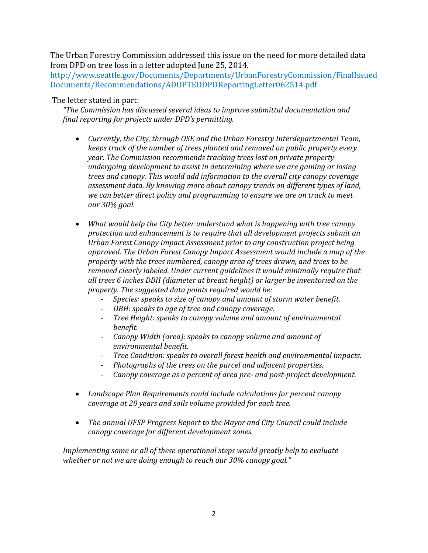The Urban Forestry Commission addressed this issue on the need for more detailed data from DPD on tree loss in a letter adopted June 25, 2014.

[http://www.seattle.gov/Documents/Departments/UrbanForestryCommission/FinalIssued](http://www.seattle.gov/Documents/Departments/UrbanForestryCommission/FinalIssuedDocuments/Recommendations/ADOPTEDDPDReportingLetter062514.pdf) [Documents/Recommendations/ADOPTEDDPDReportingLetter062514.pdf](http://www.seattle.gov/Documents/Departments/UrbanForestryCommission/FinalIssuedDocuments/Recommendations/ADOPTEDDPDReportingLetter062514.pdf)

### The letter stated in part:

*"The Commission has discussed several ideas to improve submittal documentation and final reporting for projects under DPD's permitting.*

- *Currently, the City, through OSE and the Urban Forestry Interdepartmental Team, keeps track of the number of trees planted and removed on public property every year. The Commission recommends tracking trees lost on private property undergoing development to assist in determining where we are gaining or losing trees and canopy. This would add information to the overall city canopy coverage assessment data. By knowing more about canopy trends on different types of land, we can better direct policy and programming to ensure we are on track to meet our 30% goal.*
- *What would help the City better understand what is happening with tree canopy protection and enhancement is to require that all development projects submit an Urban Forest Canopy Impact Assessment prior to any construction project being approved. The Urban Forest Canopy Impact Assessment would include a map of the property with the trees numbered, canopy area of trees drawn, and trees to be removed clearly labeled. Under current guidelines it would minimally require that all trees 6 inches DBH (diameter at breast height) or larger be inventoried on the property. The suggested data points required would be:* 
	- *Species: speaks to size of canopy and amount of storm water benefit.*
	- *DBH: speaks to age of tree and canopy coverage.*
	- *Tree Height: speaks to canopy volume and amount of environmental benefit.*
	- *Canopy Width (area): speaks to canopy volume and amount of environmental benefit.*
	- *Tree Condition: speaks to overall forest health and environmental impacts.*
	- *Photographs of the trees on the parcel and adjacent properties.*
	- *Canopy coverage as a percent of area pre- and post-project development.*
- *Landscape Plan Requirements could include calculations for percent canopy coverage at 20 years and soils volume provided for each tree.*
- *The annual UFSP Progress Report to the Mayor and City Council could include canopy coverage for different development zones.*

*Implementing some or all of these operational steps would greatly help to evaluate whether or not we are doing enough to reach our 30% canopy goal."*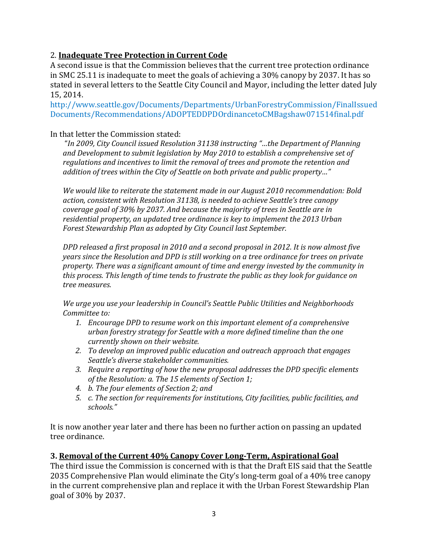# 2. **Inadequate Tree Protection in Current Code**

A second issue is that the Commission believes that the current tree protection ordinance in SMC 25.11 is inadequate to meet the goals of achieving a 30% canopy by 2037. It has so stated in several letters to the Seattle City Council and Mayor, including the letter dated July 15, 2014.

[http://www.seattle.gov/Documents/Departments/UrbanForestryCommission/FinalIssued](http://www.seattle.gov/Documents/Departments/UrbanForestryCommission/FinalIssuedDocuments/Recommendations/ADOPTEDDPDOrdinancetoCMBagshaw071514final.pdf) [Documents/Recommendations/ADOPTEDDPDOrdinancetoCMBagshaw071514final.pdf](http://www.seattle.gov/Documents/Departments/UrbanForestryCommission/FinalIssuedDocuments/Recommendations/ADOPTEDDPDOrdinancetoCMBagshaw071514final.pdf)

## In that letter the Commission stated:

"*In 2009, City Council issued Resolution 31138 instructing "…the Department of Planning and Development to submit legislation by May 2010 to establish a comprehensive set of regulations and incentives to limit the removal of trees and promote the retention and addition of trees within the City of Seattle on both private and public property…"* 

*We would like to reiterate the statement made in our August 2010 recommendation: Bold action, consistent with Resolution 31138, is needed to achieve Seattle's tree canopy coverage goal of 30% by 2037. And because the majority of trees in Seattle are in residential property, an updated tree ordinance is key to implement the 2013 Urban Forest Stewardship Plan as adopted by City Council last September.*

*DPD released a first proposal in 2010 and a second proposal in 2012. It is now almost five years since the Resolution and DPD is still working on a tree ordinance for trees on private property. There was a significant amount of time and energy invested by the community in this process. This length of time tends to frustrate the public as they look for guidance on tree measures.* 

*We urge you use your leadership in Council's Seattle Public Utilities and Neighborhoods Committee to:* 

- *1. Encourage DPD to resume work on this important element of a comprehensive urban forestry strategy for Seattle with a more defined timeline than the one currently shown on their website.*
- *2. To develop an improved public education and outreach approach that engages Seattle's diverse stakeholder communities.*
- *3. Require a reporting of how the new proposal addresses the DPD specific elements of the Resolution: a. The 15 elements of Section 1;*
- *4. b. The four elements of Section 2; and*
- *5. c. The section for requirements for institutions, City facilities, public facilities, and schools."*

It is now another year later and there has been no further action on passing an updated tree ordinance.

# **3. Removal of the Current 40% Canopy Cover Long-Term, Aspirational Goal**

The third issue the Commission is concerned with is that the Draft EIS said that the Seattle 2035 Comprehensive Plan would eliminate the City's long-term goal of a 40% tree canopy in the current comprehensive plan and replace it with the Urban Forest Stewardship Plan goal of 30% by 2037.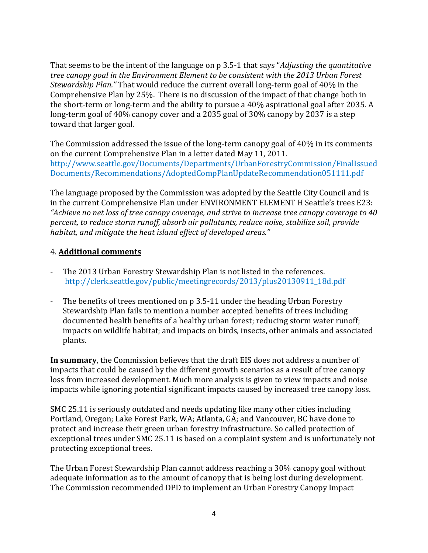That seems to be the intent of the language on p 3.5-1 that says "*Adjusting the quantitative tree canopy goal in the Environment Element to be consistent with the 2013 Urban Forest Stewardship Plan."* That would reduce the current overall long-term goal of 40% in the Comprehensive Plan by 25%. There is no discussion of the impact of that change both in the short-term or long-term and the ability to pursue a 40% aspirational goal after 2035. A long-term goal of 40% canopy cover and a 2035 goal of 30% canopy by 2037 is a step toward that larger goal.

The Commission addressed the issue of the long-term canopy goal of 40% in its comments on the current Comprehensive Plan in a letter dated May 11, 2011. [http://www.seattle.gov/Documents/Departments/UrbanForestryCommission/FinalIssued](http://www.seattle.gov/Documents/Departments/UrbanForestryCommission/FinalIssuedDocuments/Recommendations/AdoptedCompPlanUpdateRecommendation051111.pdf) [Documents/Recommendations/AdoptedCompPlanUpdateRecommendation051111.pdf](http://www.seattle.gov/Documents/Departments/UrbanForestryCommission/FinalIssuedDocuments/Recommendations/AdoptedCompPlanUpdateRecommendation051111.pdf)

The language proposed by the Commission was adopted by the Seattle City Council and is in the current Comprehensive Plan under ENVIRONMENT ELEMENT H Seattle's trees E23: *"Achieve no net loss of tree canopy coverage, and strive to increase tree canopy coverage to 40 percent, to reduce storm runoff, absorb air pollutants, reduce noise, stabilize soil, provide habitat, and mitigate the heat island effect of developed areas."*

## 4. **Additional comments**

- The 2013 Urban Forestry Stewardship Plan is not listed in the references. [http://clerk.seattle.gov/public/meetingrecords/2013/plus20130911\\_18d.pdf](http://clerk.seattle.gov/public/meetingrecords/2013/plus20130911_18d.pdf)
- The benefits of trees mentioned on p 3.5-11 under the heading Urban Forestry Stewardship Plan fails to mention a number accepted benefits of trees including documented health benefits of a healthy urban forest; reducing storm water runoff; impacts on wildlife habitat; and impacts on birds, insects, other animals and associated plants.

**In summary**, the Commission believes that the draft EIS does not address a number of impacts that could be caused by the different growth scenarios as a result of tree canopy loss from increased development. Much more analysis is given to view impacts and noise impacts while ignoring potential significant impacts caused by increased tree canopy loss.

SMC 25.11 is seriously outdated and needs updating like many other cities including Portland, Oregon; Lake Forest Park, WA; Atlanta, GA; and Vancouver, BC have done to protect and increase their green urban forestry infrastructure. So called protection of exceptional trees under SMC 25.11 is based on a complaint system and is unfortunately not protecting exceptional trees.

The Urban Forest Stewardship Plan cannot address reaching a 30% canopy goal without adequate information as to the amount of canopy that is being lost during development. The Commission recommended DPD to implement an Urban Forestry Canopy Impact